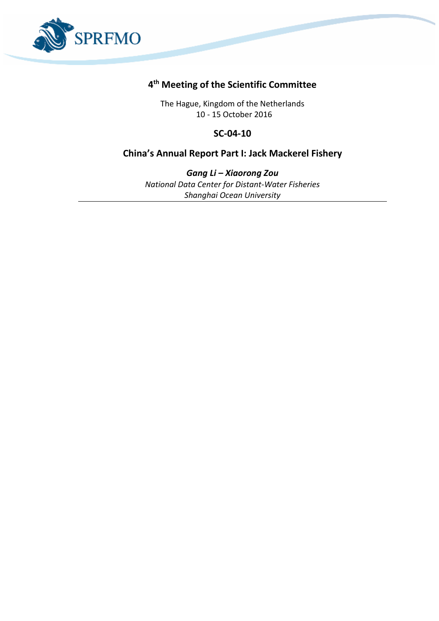

## **4 th Meeting of the Scientific Committee**

The Hague, Kingdom of the Netherlands 10 - 15 October 2016

## **SC-04-10**

## **China's Annual Report Part I: Jack Mackerel Fishery**

*Gang Li – Xiaorong Zou National Data Center for Distant-Water Fisheries Shanghai Ocean University*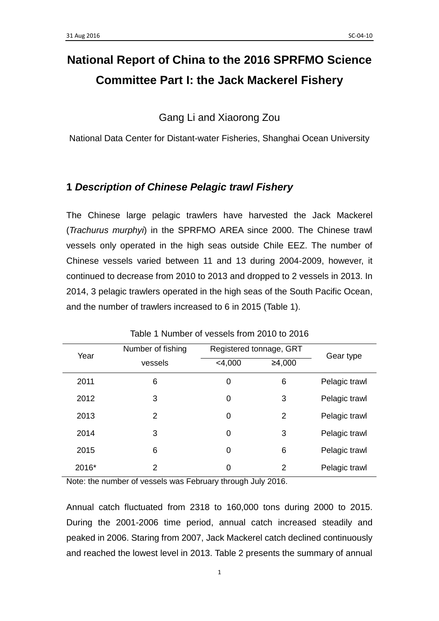# **National Report of China to the 2016 SPRFMO Science Committee Part I: the Jack Mackerel Fishery**

Gang Li and Xiaorong Zou

National Data Center for Distant-water Fisheries, Shanghai Ocean University

### **1** *Description of Chinese Pelagic trawl Fishery*

The Chinese large pelagic trawlers have harvested the Jack Mackerel (*Trachurus murphyi*) in the SPRFMO AREA since 2000. The Chinese trawl vessels only operated in the high seas outside Chile EEZ. The number of Chinese vessels varied between 11 and 13 during 2004-2009, however, it continued to decrease from 2010 to 2013 and dropped to 2 vessels in 2013. In 2014, 3 pelagic trawlers operated in the high seas of the South Pacific Ocean, and the number of trawlers increased to 6 in 2015 (Table 1).

| Year  | Number of fishing | Registered tonnage, GRT | Gear type |               |  |
|-------|-------------------|-------------------------|-----------|---------------|--|
|       | vessels           | $<$ 4,000               | ≥4,000    |               |  |
| 2011  | 6                 | 0                       | 6         | Pelagic trawl |  |
| 2012  | 3                 | 0                       | 3         | Pelagic trawl |  |
| 2013  | 2                 | 0                       | 2         | Pelagic trawl |  |
| 2014  | 3                 | 0                       | 3         | Pelagic trawl |  |
| 2015  | 6                 | 0                       | 6         | Pelagic trawl |  |
| 2016* | 2                 | 0                       | 2         | Pelagic trawl |  |

#### Table 1 Number of vessels from 2010 to 2016

Note: the number of vessels was February through July 2016.

Annual catch fluctuated from 2318 to 160,000 tons during 2000 to 2015. During the 2001-2006 time period, annual catch increased steadily and peaked in 2006. Staring from 2007, Jack Mackerel catch declined continuously and reached the lowest level in 2013. Table 2 presents the summary of annual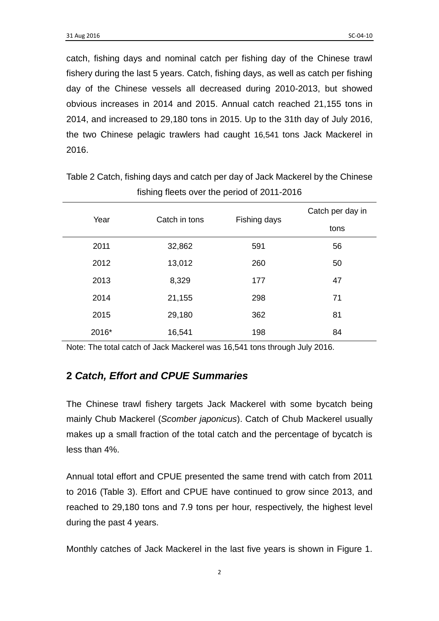catch, fishing days and nominal catch per fishing day of the Chinese trawl fishery during the last 5 years. Catch, fishing days, as well as catch per fishing day of the Chinese vessels all decreased during 2010-2013, but showed obvious increases in 2014 and 2015. Annual catch reached 21,155 tons in 2014, and increased to 29,180 tons in 2015. Up to the 31th day of July 2016, the two Chinese pelagic trawlers had caught 16,541 tons Jack Mackerel in 2016.

| Year  | Catch in tons |              | Catch per day in |  |  |  |  |  |
|-------|---------------|--------------|------------------|--|--|--|--|--|
|       |               | Fishing days | tons             |  |  |  |  |  |
| 2011  | 32,862        | 591          | 56               |  |  |  |  |  |
| 2012  | 13,012        | 260          | 50               |  |  |  |  |  |
| 2013  | 8,329         | 177          | 47               |  |  |  |  |  |
| 2014  | 21,155        | 298          | 71               |  |  |  |  |  |
| 2015  | 29,180        | 362          | 81               |  |  |  |  |  |
| 2016* | 16,541        | 198          | 84               |  |  |  |  |  |

Table 2 Catch, fishing days and catch per day of Jack Mackerel by the Chinese fishing fleets over the period of 2011-2016

Note: The total catch of Jack Mackerel was 16,541 tons through July 2016.

#### **2** *Catch, Effort and CPUE Summaries*

The Chinese trawl fishery targets Jack Mackerel with some bycatch being mainly Chub Mackerel (*Scomber japonicus*). Catch of Chub Mackerel usually makes up a small fraction of the total catch and the percentage of bycatch is less than 4%.

Annual total effort and CPUE presented the same trend with catch from 2011 to 2016 (Table 3). Effort and CPUE have continued to grow since 2013, and reached to 29,180 tons and 7.9 tons per hour, respectively, the highest level during the past 4 years.

Monthly catches of Jack Mackerel in the last five years is shown in Figure 1.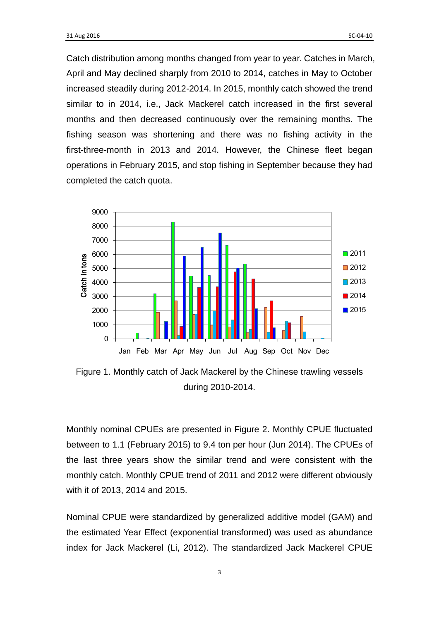Catch distribution among months changed from year to year. Catches in March, April and May declined sharply from 2010 to 2014, catches in May to October increased steadily during 2012-2014. In 2015, monthly catch showed the trend similar to in 2014, i.e., Jack Mackerel catch increased in the first several months and then decreased continuously over the remaining months. The fishing season was shortening and there was no fishing activity in the first-three-month in 2013 and 2014. However, the Chinese fleet began operations in February 2015, and stop fishing in September because they had completed the catch quota.



Figure 1. Monthly catch of Jack Mackerel by the Chinese trawling vessels during 2010-2014.

Monthly nominal CPUEs are presented in Figure 2. Monthly CPUE fluctuated between to 1.1 (February 2015) to 9.4 ton per hour (Jun 2014). The CPUEs of the last three years show the similar trend and were consistent with the monthly catch. Monthly CPUE trend of 2011 and 2012 were different obviously with it of 2013, 2014 and 2015.

Nominal CPUE were standardized by generalized additive model (GAM) and the estimated Year Effect (exponential transformed) was used as abundance index for Jack Mackerel (Li, 2012). The standardized Jack Mackerel CPUE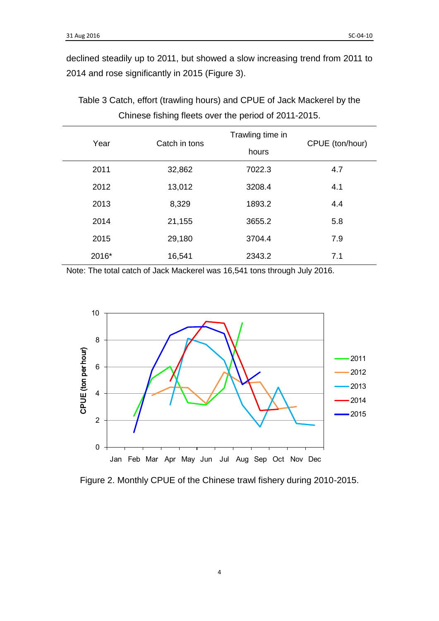declined steadily up to 2011, but showed a slow increasing trend from 2011 to 2014 and rose significantly in 2015 (Figure 3).

| Year  | Catch in tons | Trawling time in | CPUE (ton/hour) |
|-------|---------------|------------------|-----------------|
|       |               | hours            |                 |
| 2011  | 32,862        | 7022.3           | 4.7             |
| 2012  | 13,012        | 3208.4           | 4.1             |
| 2013  | 8,329         | 1893.2           | 4.4             |
| 2014  | 21,155        | 3655.2           | 5.8             |
| 2015  | 29,180        | 3704.4           | 7.9             |
| 2016* | 16,541        | 2343.2           | 7.1             |

Table 3 Catch, effort (trawling hours) and CPUE of Jack Mackerel by the Chinese fishing fleets over the period of 2011-2015.

Note: The total catch of Jack Mackerel was 16,541 tons through July 2016.



Figure 2. Monthly CPUE of the Chinese trawl fishery during 2010-2015.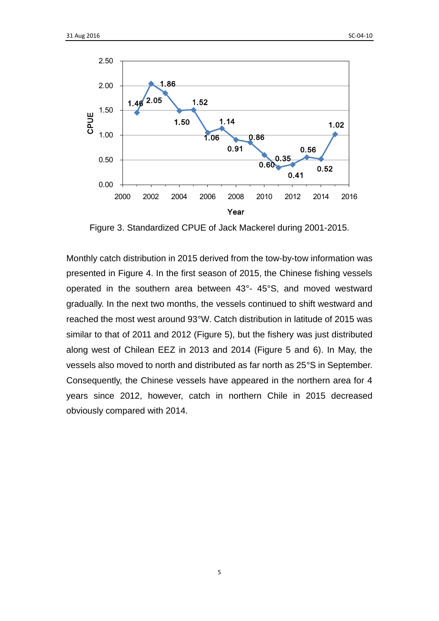

Figure 3. Standardized CPUE of Jack Mackerel during 2001-2015.

Monthly catch distribution in 2015 derived from the tow-by-tow information was presented in Figure 4. In the first season of 2015, the Chinese fishing vessels operated in the southern area between 43°- 45°S, and moved westward gradually. In the next two months, the vessels continued to shift westward and reached the most west around 93°W. Catch distribution in latitude of 2015 was similar to that of 2011 and 2012 (Figure 5), but the fishery was just distributed along west of Chilean EEZ in 2013 and 2014 (Figure 5 and 6). In May, the vessels also moved to north and distributed as far north as 25°S in September. Consequently, the Chinese vessels have appeared in the northern area for 4 years since 2012, however, catch in northern Chile in 2015 decreased obviously compared with 2014.

5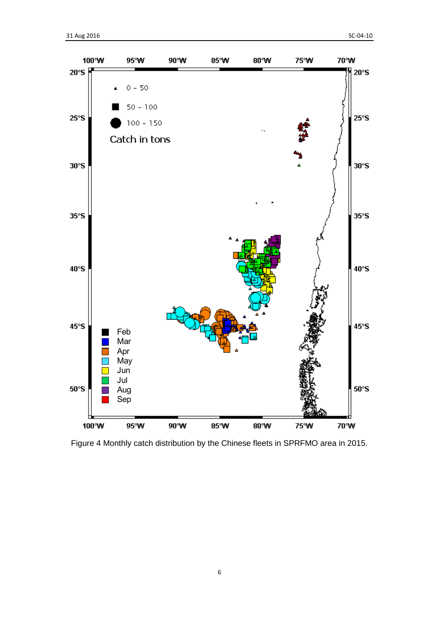

Figure 4 Monthly catch distribution by the Chinese fleets in SPRFMO area in 2015.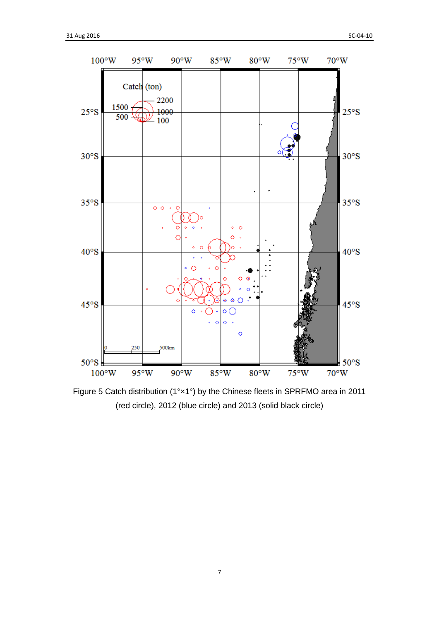

Figure 5 Catch distribution (1°×1°) by the Chinese fleets in SPRFMO area in 2011 (red circle), 2012 (blue circle) and 2013 (solid black circle)

7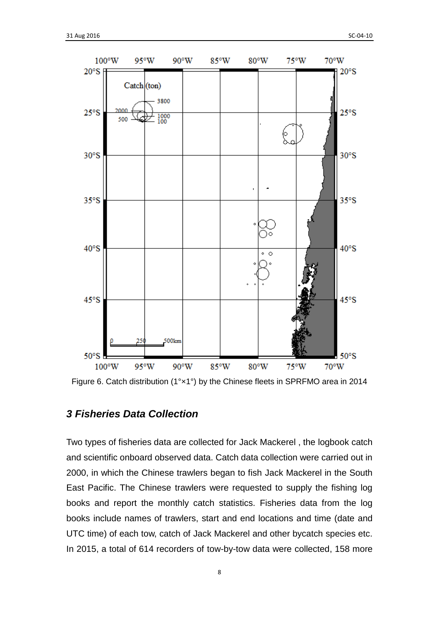

Figure 6. Catch distribution (1°×1°) by the Chinese fleets in SPRFMO area in 2014

#### *3 Fisheries Data Collection*

Two types of fisheries data are collected for Jack Mackerel , the logbook catch and scientific onboard observed data. Catch data collection were carried out in 2000, in which the Chinese trawlers began to fish Jack Mackerel in the South East Pacific. The Chinese trawlers were requested to supply the fishing log books and report the monthly catch statistics. Fisheries data from the log books include names of trawlers, start and end locations and time (date and UTC time) of each tow, catch of Jack Mackerel and other bycatch species etc. In 2015, a total of 614 recorders of tow-by-tow data were collected, 158 more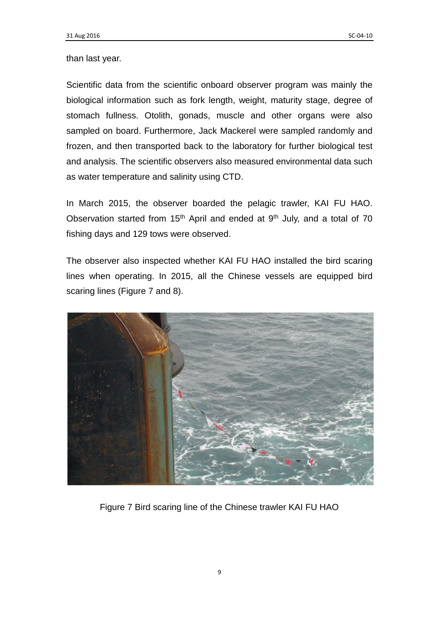than last year.

Scientific data from the scientific onboard observer program was mainly the biological information such as fork length, weight, maturity stage, degree of stomach fullness. Otolith, gonads, muscle and other organs were also sampled on board. Furthermore, Jack Mackerel were sampled randomly and frozen, and then transported back to the laboratory for further biological test and analysis. The scientific observers also measured environmental data such as water temperature and salinity using CTD.

In March 2015, the observer boarded the pelagic trawler, KAI FU HAO. Observation started from  $15<sup>th</sup>$  April and ended at  $9<sup>th</sup>$  July, and a total of 70 fishing days and 129 tows were observed.

The observer also inspected whether KAI FU HAO installed the bird scaring lines when operating. In 2015, all the Chinese vessels are equipped bird scaring lines (Figure 7 and 8).



Figure 7 Bird scaring line of the Chinese trawler KAI FU HAO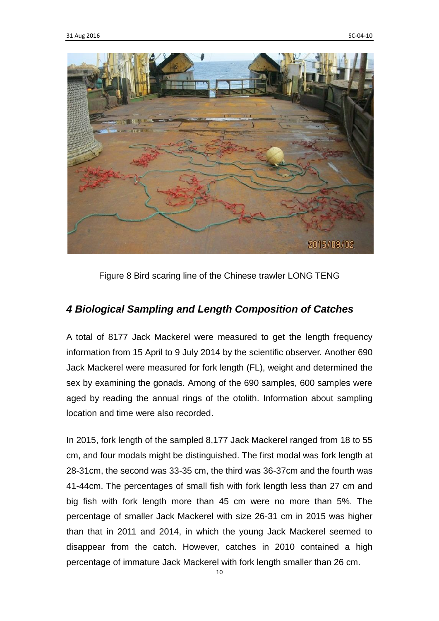

Figure 8 Bird scaring line of the Chinese trawler LONG TENG

## *4 Biological Sampling and Length Composition of Catches*

A total of 8177 Jack Mackerel were measured to get the length frequency information from 15 April to 9 July 2014 by the scientific observer. Another 690 Jack Mackerel were measured for fork length (FL), weight and determined the sex by examining the gonads. Among of the 690 samples, 600 samples were aged by reading the annual rings of the otolith. Information about sampling location and time were also recorded.

In 2015, fork length of the sampled 8,177 Jack Mackerel ranged from 18 to 55 cm, and four modals might be distinguished. The first modal was fork length at 28-31cm, the second was 33-35 cm, the third was 36-37cm and the fourth was 41-44cm. The percentages of small fish with fork length less than 27 cm and big fish with fork length more than 45 cm were no more than 5%. The percentage of smaller Jack Mackerel with size 26-31 cm in 2015 was higher than that in 2011 and 2014, in which the young Jack Mackerel seemed to disappear from the catch. However, catches in 2010 contained a high percentage of immature Jack Mackerel with fork length smaller than 26 cm.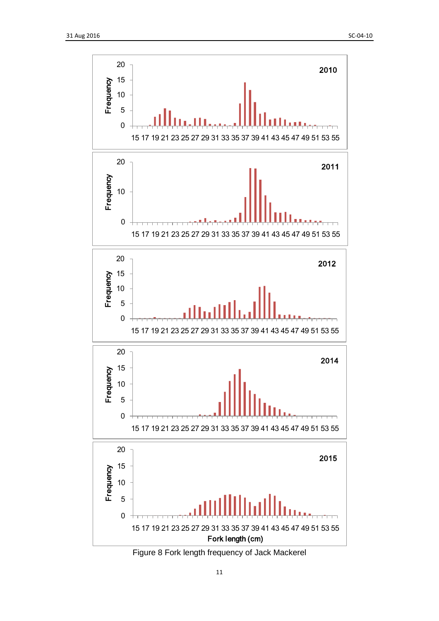

Figure 8 Fork length frequency of Jack Mackerel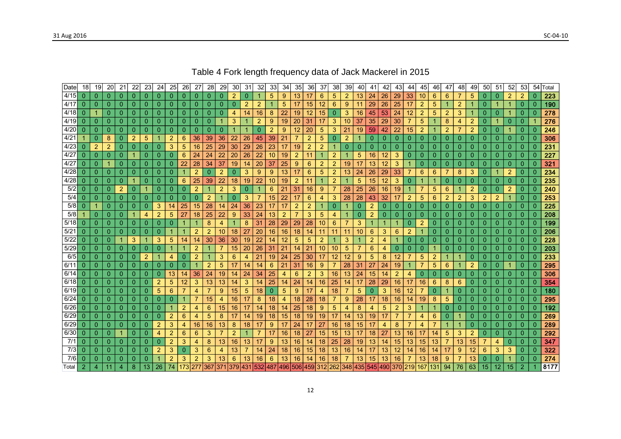## Table 4 Fork length frequency data of Jack Mackerel in 2015

| Date  | 18             | 19             | 20             | 21                   | 22             | 23              | 24             | 25             | 26             | 27             | 28             | 29             | 30       | 31  | 32             | 33          | 34  | 35             | 36              | 37               | 38              | 39             | 40 | 41             | 42             | 43              | 44             | 45             | 46             | 47             | 48             | 49             | 50             | 51             | 52             | 53             | 54 | Гоtal |
|-------|----------------|----------------|----------------|----------------------|----------------|-----------------|----------------|----------------|----------------|----------------|----------------|----------------|----------|-----|----------------|-------------|-----|----------------|-----------------|------------------|-----------------|----------------|----|----------------|----------------|-----------------|----------------|----------------|----------------|----------------|----------------|----------------|----------------|----------------|----------------|----------------|----|-------|
| 4/15  |                | $\Omega$       | $\Omega$       | $\Omega$             | 0              |                 | $\Omega$       |                | $\Omega$       | $\Omega$       | $\Omega$       | $\Omega$       | 2        | 0   |                | 5           | 9   | 13             | 17              | 6                | 5               | 2              | 13 | 24             | 26             | 29              | 33             | 10             | 6              | 6              |                | 5              | $\Omega$       | $\Omega$       | $\overline{2}$ | $\overline{2}$ |    | 223   |
| 4/17  | $\Omega$       | 0              | $\Omega$       | $\mathbf{0}$         | 0              | 0               | 0              | 0              | $\theta$       | 0              | 0              | 0              | 0        |     | 2              |             | 5   | 17             | 15              | 12               | 6               | 9              | 11 | 29             | 26             | 25              | 17             | 2              | 5              |                | $\overline{2}$ |                | 0              |                |                | $\mathbf{0}$   |    | 190   |
| 4/18  | $\Omega$       |                | $\mathbf{0}$   | $\mathbf{0}$         | $\mathbf{0}$   | 0               | $\Omega$       | $\mathbf{0}$   | $\overline{0}$ | $\mathbf{0}$   | $\mathbf{0}$   | $\mathbf{0}$   | 4        | 14  | 16             | 8           | 22  | 19             | 12              | 15               | $\overline{0}$  | 3              | 16 | 45             | 53             | 24              | 12             | $\overline{2}$ | 5              | 2              | 3              |                | $\overline{0}$ | $\mathbf{0}$   | 1              | $\mathbf{0}$   |    | 278   |
| 4/19  | $\Omega$       | $\mathbf{0}$   | $\mathbf 0$    | $\mathbf{0}$         | $\mathbf{0}$   | $\Omega$        | $\Omega$       | 0              | $\mathbf 0$    | $\mathbf{0}$   | $\mathbf{0}$   |                | 3        |     | $\overline{2}$ | 9           | 19  | 20             | 31              | 17               | 3               | 10             | 37 | 35             | 29             | 30              | $\overline{7}$ | 5              |                | 8              | 4              | $\overline{2}$ | $\overline{0}$ |                | $\mathbf 0$    | $\mathbf{0}$   |    | 276   |
| 4/20  | 0              | $\mathbf{0}$   | $\mathbf{0}$   | $\mathbf{0}$         | $\mathbf{0}$   | $\Omega$        | $\Omega$       | $\Omega$       | $\mathbf 0$    | $\mathbf{0}$   | $\mathbf{0}$   | $\Omega$       |          |     | $\Omega$       | 2           | 9   | 12             | 20              | 5                | 3               | 21             | 19 | 59             | 42             | 22              | 15             | 2              |                | 2              |                | 2              | $\mathbf 0$    | $\mathbf{0}$   |                | $\mathbf{0}$   |    | 246   |
| 4/21  |                | $\mathbf{0}$   | 8              | $\mathbf{0}$         | 2              | 5               |                | 2              | 6              | 36             | 39             | 36             | 22       | 26  | 45             | 39          | 21  | 7              | $\overline{2}$  | 5                | $\mathbf{0}$    | $\overline{2}$ |    | $\mathbf 0$    | $\mathbf 0$    | $\mathbf 0$     | $\mathbf{0}$   | 0              | 0              | 0              | 0              | 0              | 0              | $\mathbf 0$    | $\mathbf 0$    | 0              |    | 306   |
| 4/23  | $\Omega$       | $\overline{2}$ | $\overline{2}$ | $\mathbf{0}$         | 0              | $\Omega$        | $\Omega$       | 3              | 5              | 16             | 25             | 29             | 30       | 29  | 26             | 23          | 17  | 19             | $\overline{2}$  | $\overline{2}$   |                 | $\Omega$       | 0  | $\Omega$       | $\theta$       | $\Omega$        | $\mathbf{0}$   | $\mathbf{0}$   | $\Omega$       | 0              | 0              | 0              | 0              | 0              | 0              | 0              |    | 231   |
| 4/27  | $\Omega$       | $\mathbf{0}$   | $\mathbf{0}$   | $\overline{0}$       | 1.             | $\mathbf{0}$    | $\overline{0}$ | $\Omega$       | 6              | 24             | 24             | 22             | 20       | 26  | 22             | 10          | 19  | $\overline{2}$ | 11              | $\mathbf{1}$     | $\overline{2}$  | $\mathbf{1}$   | 5  | 16             | 12             | 3               | $\overline{0}$ | $\mathbf{0}$   | $\mathbf{0}$   | 0              | $\mathbf 0$    | $\mathbf 0$    | $\mathbf 0$    | $\mathbf{0}$   | $\overline{0}$ | $\overline{0}$ | 0  | 227   |
| 4/27  |                | 0              | 1              | $\mathbf{0}$         | $\mathbf{0}$   | $\Omega$        | $\mathbf 0$    | $\Omega$       | 22             | 28             | 34             | 37             | 19       | 14  | 20             | 37          | 25  | 9              | 6               | $\overline{2}$   | $\overline{2}$  | 19             | 17 | 13             | 12             | 3               |                | $\Omega$       | $\mathbf 0$    | $\Omega$       | 0              | 0              | 0              | $\mathbf 0$    | 0              | $\mathbf{0}$   |    | 321   |
| 4/28  |                | 0              | $\mathbf{0}$   | $\overline{0}$       | 0              | 0               | $\Omega$       | $\Omega$       |                | $\overline{2}$ | $\mathbf{0}$   | $\overline{2}$ | 0        | 3   | 9              | 9           | 13  | 17             | 6               | 5                | $\overline{2}$  | 13             | 24 | 26             | 29             | 33              | $\overline{7}$ | 6              | 6              |                | 8              | 3              | $\mathbf 0$    | -1             | $\overline{2}$ | $\overline{0}$ |    | 234   |
| 4/28  | $\Omega$       | $\Omega$       | $\Omega$       | $\mathbf{0}$         |                | $\Omega$        | $\Omega$       | 0              | 6              | 25             | 39             | 22             | 18       | 19  | 22             | 10          | 19  | 2              | 11              | 1.               | $\overline{2}$  | $\mathbf{1}$   | 5  | 15             | 12             | 3               | $\mathbf{0}$   |                | -1             | $\Omega$       | 0              | 0              | 0              | $\mathbf{0}$   | $\mathbf{0}$   | $\mathbf{0}$   |    | 235   |
| 5/2   | $\Omega$       | $\mathbf{0}$   | $\mathbf{0}$   | $\overline{2}$       | $\Omega$       |                 | 0              | $\mathbf{0}$   | 0              | $\overline{2}$ | 1              | $\overline{2}$ | 3        | 0   |                | 6           | 21  | 31             | 16              | 9                |                 | 28             | 25 | 26             | 16             | 19              | 1              | 7              | 5              | 6              |                | 2              | 0              | $\mathbf 0$    | $\overline{2}$ | $\mathbf{0}$   |    | 240   |
| 5/4   | 0              | $\mathbf{0}$   | $\mathbf{0}$   | $\Omega$             | $\mathbf{0}$   | $\Omega$        | $\theta$       | $\Omega$       | $\theta$       | $\mathbf{0}$   | 2              | $\mathbf{1}$   | $\Omega$ | 3   |                | 15          | 22  | 17             | $6\phantom{1}6$ | 4                | 3               | 28             | 28 | 43             | 32             | 17              | $\overline{2}$ | 5              | 6              | $\overline{2}$ | $\overline{2}$ | 3              | $\overline{2}$ | $\overline{2}$ |                | $\overline{0}$ |    | 253   |
| $5/8$ | $\mathbf 0$    |                | $\mathbf{0}$   | $\mathbf{0}$         | 0              | $\Omega$        | 3              | 14             | 25             | 15             | 28             | 14             | 24       | 36  | 23             | 17          | 17  | $\overline{2}$ | $\overline{2}$  | 1                | $\mathbf{0}$    |                | 0  | $\overline{2}$ | $\mathbf{0}$   | $\mathbf{0}$    | $\mathbf{0}$   | $\mathbf{0}$   | $\mathbf{0}$   | $\Omega$       | 0              | 0              | 0              | $\mathbf{0}$   | $\mathbf{0}$   | $\overline{0}$ |    | 225   |
| 5/8   |                | $\mathbf{0}$   | $\mathbf 0$    | $\mathbf{0}$         |                |                 | $\overline{2}$ | 5              | 27             | 18             | 25             | 22             | 9        | 33  | 24             | 13          | 2   | 7              | 3               | 5                | 4               | 1              | 0  | $\overline{2}$ | 0              | 0               | 0              | 0              | 0              | 0              | 0              | 0              | 0              | $\mathbf 0$    | $\mathbf 0$    | $\mathbf{0}$   |    | 208   |
| 5/18  | $\Omega$       | 0              | 0              | $\mathbf{0}$         | 0              | $\Omega$        | $\Omega$       | $\Omega$       |                |                | 8              | 4              |          |     | 31             | 28          | 29  | 29             | 28              | 10 <sup>°</sup>  | 6               | 7              | 3  |                | -1             | $\overline{1}$  | $\mathbf{0}$   | $\overline{2}$ | $\Omega$       | 0              | 0              | $\Omega$       | $\mathbf 0$    | 0              | 0              | 0              |    | 199   |
| 5/21  | $\Omega$       | $\mathbf{0}$   | $\mathbf{0}$   | $\mathbf{0}$         | 0              | 0               | $\theta$       | -1             | -1             | $\overline{2}$ | $\overline{2}$ | 10             | 18       | 27  | 20             | 16          | 16  | 18             | 14              | 11               | 11              | 11             | 10 | 6              | 3              | $6\phantom{1}6$ | $\overline{2}$ | 1.             | 0              | 0              | 0              | 0              | 0              | $\mathbf 0$    | $\mathbf{0}$   | $\mathbf{0}$   |    | 206   |
| 5/22  |                | $\Omega$       | 0              | $\blacktriangleleft$ | 3              |                 | 3              | 5              | 14             | 14             | 30             | 36             | 30       | 19  | 22             | 14          | 12  | 5              | 5               | $\overline{2}$   |                 | 3              |    | 2              | $\overline{4}$ | $\overline{1}$  | $\overline{0}$ | $\mathbf{0}$   | $\Omega$       | $\Omega$       | 0              | 0              | 0              | $\mathbf{0}$   | 0              | $\overline{0}$ |    | 228   |
| 5/29  | 0              | 0              | $\mathbf{0}$   | $\mathbf{0}$         | $\mathbf{0}$   | 0               | 0              |                |                | $\overline{2}$ | 1              | $\overline{7}$ | 15       | 20  | 26             | 31          | 21  | 14             | 21              | 10 <sup>10</sup> | 10 <sup>1</sup> | 5              |    | 6              | 4              | $\mathbf{0}$    | $\mathbf{0}$   | $\mathbf{0}$   |                | $\Omega$       | 0              | 0              | 0              | $\mathbf{0}$   | $\mathbf{0}$   | $\overline{0}$ |    | 203   |
| 6/5   | 0              | 0              | 0              | $\mathbf{0}$         | $\Omega$       | 2               |                | 4              | 0              | $\overline{2}$ |                | 3              | 6        | 4   | 21             | 19          | 24  | 25             | 30              | 17               | 12              | 12             | 9  | 5              | 8              | 12              | 7              | 5.             | 2              |                |                | 0              | 0              | $\mathbf 0$    | $\mathbf 0$    | 0              |    | 233   |
| 6/11  | $\theta$       | $\mathbf{0}$   | $\mathbf{0}$   | $\overline{0}$       | 0              | $\Omega$        | $\Omega$       | $\Omega$       | $\Omega$       | -1             | $\overline{2}$ | 5 <sup>5</sup> | 17       | 14  | 14             | 6           | 21  | 31             | 16              | 9                |                 | 28             | 31 | 27             | 24             | 19              | 1              |                | $\overline{5}$ | 6              |                | 2              | $\mathbf 0$    | $\mathbf 0$    | 1              | $\mathbf{0}$   |    | 295   |
| 6/14  | $\Omega$       | $\mathbf{0}$   | $\mathbf{0}$   | $\Omega$             | $\mathbf{0}$   | $\mathbf{0}$    | $\theta$       | 13             | 14             | 36             | 24             | 19             | 14       | 24  | 34             | 25          | 4   | 6              | $\overline{2}$  | 3                | 16              | 13             | 24 | 15             | 14             | $\overline{2}$  | 4              | $\mathbf{0}$   | $\mathbf{0}$   | $\Omega$       | $\Omega$       | $\Omega$       | $\mathbf 0$    | $\mathbf 0$    | $\mathbf 0$    | $\overline{0}$ |    | 306   |
| 6/18  | 0              | 0              | 0              | $\Omega$             | $\Omega$       | $\Omega$        | $\overline{2}$ | 5              | 12             | 3              | 13             | 13             | 14       | 3   | 14             | 25          | 14  | 24             | 14              | 16               | 25              | 14             | 17 | 28             | 29             | 16              | 17             | 16             | 6              | 8              | 6              | 0              | 0              | $\mathbf 0$    | 0              | $\mathbf{0}$   |    | 354   |
| 6/19  | 0              | $\mathbf{0}$   | $\mathbf{0}$   | $\mathbf{0}$         | $\mathbf{0}$   | 0               | 5              | 6              |                | 4              |                | 9              | 15       | 5   | 18             | $\mathbf 0$ | 5   | 9              | 17              | 4                | 18              |                | 5  | $\mathbf 0$    | 3              | 16              | 12             |                | 0              |                | 0              | 0              | 0              | $\mathbf{0}$   | $\mathbf{0}$   | $\mathbf{0}$   |    | 180   |
| 6/24  | 0              | $\mathbf{0}$   | $\mathbf 0$    | $\mathbf{0}$         | 0              | 0               | 0              | 0              |                |                | 15             | 4              | 16       | 17  | 8              | 18          | 4   | 18             | 28              | 18               | 7               | 9              | 28 | 17             | 18             | 16              | 14             | 19             | 8              | 5              | 0              | 0              | 0              | $\mathbf 0$    | $\mathbf 0$    | 0              |    | 295   |
| 6/26  | $\Omega$       | $\mathbf{0}$   | $\mathbf{0}$   | $\overline{0}$       | 0              | $\Omega$        | $\Omega$       | -1             | $\overline{2}$ | 4              | 6              | 15             | 16       | 17  | 14             | 18          | 14  | 25             | 18              | 9                | 5               | 4              | 8  | 4              | 5              | $\overline{2}$  | 3              | 1.             | -1             | $\Omega$       | $\mathbf 0$    | 0              | $\mathbf 0$    | $\mathbf 0$    | $\mathbf{0}$   | $\overline{0}$ | 0  | 192   |
| 6/29  |                | 0              | $\mathbf{0}$   | $\overline{0}$       | $\mathbf{0}$   | $\Omega$        | $\theta$       | $\overline{2}$ | 6              | 4              | 5              | 8              | 17       | 14  | 19             | 18          | 15  | 18             | 19              | 19               | 17              | 14             | 13 | 19             | 17             | 7               | $\overline{7}$ | 4              | 6              | $\Omega$       |                | 0              | $\Omega$       | $\mathbf 0$    | $\mathbf 0$    | $\overline{0}$ |    | 269   |
| 6/29  |                | 0              | $\mathbf{0}$   | $\mathbf{0}$         | 0              | $\Omega$        | $\overline{2}$ | 3              | $\overline{4}$ | 16             | 16             | 13             | 8        | 18  | 17             | 9           | 17  | 24             | 17              | 27               | 16              | 18             | 15 | 17             | 4              | 8               | $\overline{7}$ | 4              |                |                |                | 0              | 0              | $\mathbf 0$    | 0              | $\mathbf{0}$   |    | 289   |
| 6/30  | 0              | 0              | 0              |                      | 0              | 0               | 4              | 2              | 6              | 6              | 3              | $\overline{7}$ | 2        |     |                | 17          | 16  | 18             | 27              | 15               | 15              | 13             | 17 | 18             | 27             | 13              | 16             | 17             | 14             | 5              | 3              | 2              | 0              | $\mathbf 0$    | $\mathbf{0}$   | 0.             |    | 292   |
| 7/1   | $\Omega$       | 0              | 0              | $\mathbf{0}$         | 0              | $\Omega$        | $\Omega$       | $\overline{2}$ | 3              | 4              | 8              | 13             | 16       | 13  | 17             | 9           | 13  | 16             | 14              | 18               | 25              | 28             | 19 | 13             | 14             | 15              | 13             | 15             | 13             |                | 13             | 15             | 7              | 4              | 0              | $\mathbf{0}$   |    | 347   |
| 7/3   | $\Omega$       | $\mathbf{0}$   | $\mathbf{0}$   | $\overline{0}$       | $\overline{0}$ | $\mathbf{0}$    | $\overline{2}$ | 3              | $\mathbf 0$    | 3              | 6              | 4              | 13       |     | 14             | 24          | 18  | 16             | 15              | 18               | 13              | 16             | 14 | 17             | 13             | 12              | 14             | 16             | 14             | 17             | 9              | 12             | 6              | 3              | 3              | $\overline{0}$ | 0  | 322   |
| 7/6   | $\overline{0}$ | $\mathbf{0}$   | $\mathbf{0}$   | $\mathbf{0}$         | $\mathbf{0}$   | $\mathbf{0}$    |                | $\overline{2}$ | 3              | $\overline{2}$ | 3              | 13             | 6        | 13  | 16             | 6           | 13  | 16             | 14              | 16               | 18              |                | 13 | 15             | 13             | 16              | $\overline{7}$ | 13             | 18             | $\overline{9}$ |                | 13             | $\mathbf 0$    | $\mathbf{0}$   |                | $\overline{0}$ |    | 274   |
| Total | $\overline{2}$ | $\overline{4}$ | 11             | $\overline{4}$       | 8              | 13 <sup>°</sup> | 26             | 74             |                |                |                | 371            | 379      | 431 |                | 487         | 496 | 506 459        |                 | 312              | 262 348         |                |    | 545            |                |                 | 370 219 167    |                | 131            | 94             | 76             | 63             | 15             | 12             | 15             | 2 <sup>1</sup> |    | 8177  |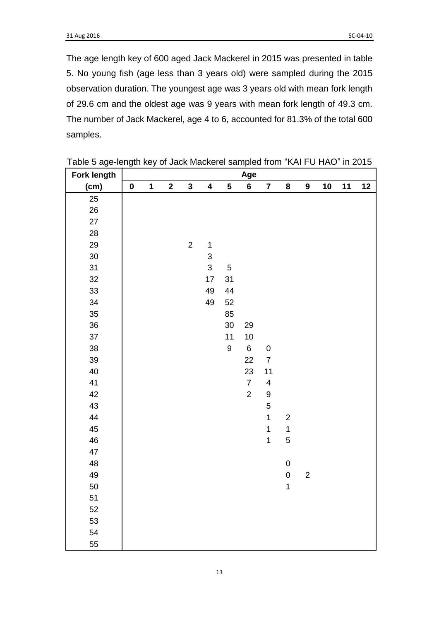The age length key of 600 aged Jack Mackerel in 2015 was presented in table 5. No young fish (age less than 3 years old) were sampled during the 2015 observation duration. The youngest age was 3 years old with mean fork length of 29.6 cm and the oldest age was 9 years with mean fork length of 49.3 cm. The number of Jack Mackerel, age 4 to 6, accounted for 81.3% of the total 600 samples.

| Fork length | <b>Age</b> |              |              |              |                         |                         |                |                         |                |                  |    |    |    |  |
|-------------|------------|--------------|--------------|--------------|-------------------------|-------------------------|----------------|-------------------------|----------------|------------------|----|----|----|--|
| (cm)        | $\pmb{0}$  | $\mathbf{1}$ | $\mathbf{2}$ | $\mathbf{3}$ | $\overline{\mathbf{4}}$ | $\overline{\mathbf{5}}$ | $\bf{6}$       | $\overline{7}$          | $\bf 8$        | $\boldsymbol{9}$ | 10 | 11 | 12 |  |
| 25          |            |              |              |              |                         |                         |                |                         |                |                  |    |    |    |  |
| 26          |            |              |              |              |                         |                         |                |                         |                |                  |    |    |    |  |
| 27          |            |              |              |              |                         |                         |                |                         |                |                  |    |    |    |  |
| 28          |            |              |              |              |                         |                         |                |                         |                |                  |    |    |    |  |
| 29          |            |              |              | $\sqrt{2}$   | $\mathbf 1$             |                         |                |                         |                |                  |    |    |    |  |
| 30          |            |              |              |              | $\mathbf{3}$            |                         |                |                         |                |                  |    |    |    |  |
| 31          |            |              |              |              | $\mathbf{3}$            | $\sqrt{5}$              |                |                         |                |                  |    |    |    |  |
| 32          |            |              |              |              | 17                      | 31                      |                |                         |                |                  |    |    |    |  |
| 33          |            |              |              |              | 49                      | 44                      |                |                         |                |                  |    |    |    |  |
| 34          |            |              |              |              | 49                      | 52                      |                |                         |                |                  |    |    |    |  |
| 35          |            |              |              |              |                         | 85                      |                |                         |                |                  |    |    |    |  |
| 36          |            |              |              |              |                         | 30                      | 29             |                         |                |                  |    |    |    |  |
| 37          |            |              |              |              |                         | 11                      | 10             |                         |                |                  |    |    |    |  |
| 38          |            |              |              |              |                         | $\boldsymbol{9}$        | $\bf 6$        | $\pmb{0}$               |                |                  |    |    |    |  |
| 39          |            |              |              |              |                         |                         | 22             | $\overline{7}$          |                |                  |    |    |    |  |
| 40          |            |              |              |              |                         |                         | 23             | 11                      |                |                  |    |    |    |  |
| 41          |            |              |              |              |                         |                         | $\overline{7}$ | $\overline{\mathbf{4}}$ |                |                  |    |    |    |  |
| 42          |            |              |              |              |                         |                         | $\overline{2}$ | $\boldsymbol{9}$        |                |                  |    |    |    |  |
| 43          |            |              |              |              |                         |                         |                | $\mathbf 5$             |                |                  |    |    |    |  |
| 44          |            |              |              |              |                         |                         |                | $\mathbf{1}$            | $\overline{c}$ |                  |    |    |    |  |
| 45          |            |              |              |              |                         |                         |                | $\overline{1}$          | $\mathbf 1$    |                  |    |    |    |  |
| 46          |            |              |              |              |                         |                         |                | $\overline{1}$          | 5              |                  |    |    |    |  |
| 47          |            |              |              |              |                         |                         |                |                         |                |                  |    |    |    |  |
| 48          |            |              |              |              |                         |                         |                |                         | $\mathbf 0$    |                  |    |    |    |  |
| 49          |            |              |              |              |                         |                         |                |                         | $\mathbf 0$    | $\overline{c}$   |    |    |    |  |
| 50          |            |              |              |              |                         |                         |                |                         | $\mathbf{1}$   |                  |    |    |    |  |
| 51          |            |              |              |              |                         |                         |                |                         |                |                  |    |    |    |  |
| 52          |            |              |              |              |                         |                         |                |                         |                |                  |    |    |    |  |
| 53          |            |              |              |              |                         |                         |                |                         |                |                  |    |    |    |  |
| 54          |            |              |              |              |                         |                         |                |                         |                |                  |    |    |    |  |
| 55          |            |              |              |              |                         |                         |                |                         |                |                  |    |    |    |  |

Table 5 age-length key of Jack Mackerel sampled from "KAI FU HAO" in 2015